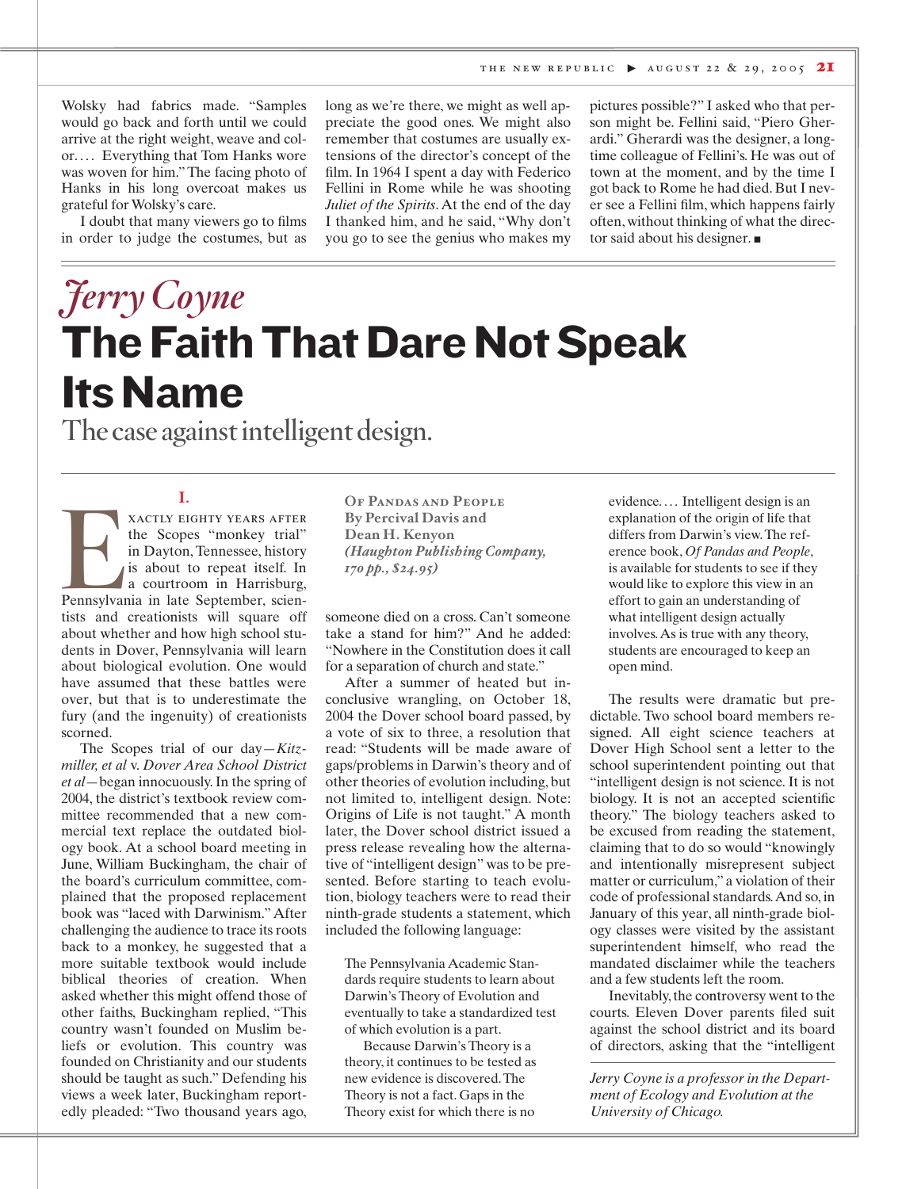Wolsky had fabrics made. "Samples would go back and forth until we could arrive at the right weight, weave and color. . . . Everything that Tom Hanks wore was woven for him." The facing photo of Hanks in his long overcoat makes us grateful for Wolsky's care.

I doubt that many viewers go to films in order to judge the costumes, but as

long as we're there, we might as well appreciate the good ones. We might also remember that costumes are usually extensions of the director's concept of the film. In 1964 I spent a day with Federico Fellini in Rome while he was shooting *Juliet of the Spirits*. At the end of the day I thanked him, and he said, "Why don't you go to see the genius who makes my

pictures possible?" I asked who that person might be. Fellini said, "Piero Gherardi." Gherardi was the designer, a longtime colleague of Fellini's. He was out of town at the moment, and by the time I got back to Rome he had died. But I never see a Fellini film, which happens fairly often, without thinking of what the director said about his designer.  $\blacksquare$ 

# *Jerry Coyne* The Faith That Dare Not Speak Its Name

The case against intelligent design.

#### **I.**

EXACTLY EIGHTY YEARS AFTER<br>
the Scopes "monkey trial"<br>
in Dayton, Tennessee, history<br>
is about to repeat itself. In<br>
a courtroom in Harrisburg,<br>
Pennsylvania in late September, scienthe Scopes "monkey trial" in Dayton, Tennessee, history is about to repeat itself. In a courtroom in Harrisburg, tists and creationists will square off about whether and how high school students in Dover, Pennsylvania will learn about biological evolution. One would have assumed that these battles were over, but that is to underestimate the fury (and the ingenuity) of creationists scorned.

The Scopes trial of our day—*Kitzmiller, et al* v. *Dover Area School District et al*—began innocuously. In the spring of 2004, the district's textbook review committee recommended that a new commercial text replace the outdated biology book. At a school board meeting in June, William Buckingham, the chair of the board's curriculum committee, complained that the proposed replacement book was "laced with Darwinism." After challenging the audience to trace its roots back to a monkey, he suggested that a more suitable textbook would include biblical theories of creation. When asked whether this might offend those of other faiths, Buckingham replied, "This country wasn't founded on Muslim beliefs or evolution. This country was founded on Christianity and our students should be taught as such." Defending his views a week later, Buckingham reportedly pleaded: "Two thousand years ago,

**Of Pandas and People By Percival Davis and Dean H. Kenyon** *(Haughton Publishing Company, 170 pp., \$24.95)*

someone died on a cross. Can't someone take a stand for him?" And he added: "Nowhere in the Constitution does it call for a separation of church and state."

After a summer of heated but inconclusive wrangling, on October 18, 2004 the Dover school board passed, by a vote of six to three, a resolution that read: "Students will be made aware of gaps/problems in Darwin's theory and of other theories of evolution including, but not limited to, intelligent design. Note: Origins of Life is not taught." A month later, the Dover school district issued a press release revealing how the alternative of "intelligent design" was to be presented. Before starting to teach evolution, biology teachers were to read their ninth-grade students a statement, which included the following language:

The Pennsylvania Academic Standards require students to learn about Darwin's Theory of Evolution and eventually to take a standardized test of which evolution is a part.

Because Darwin's Theory is a theory, it continues to be tested as new evidence is discovered.The Theory is not a fact. Gaps in the Theory exist for which there is no

evidence.... Intelligent design is an explanation of the origin of life that differs from Darwin's view.The reference book, *Of Pandas and People*, is available for students to see if they would like to explore this view in an effort to gain an understanding of what intelligent design actually involves.As is true with any theory, students are encouraged to keep an open mind.

The results were dramatic but predictable. Two school board members resigned. All eight science teachers at Dover High School sent a letter to the school superintendent pointing out that "intelligent design is not science. It is not biology. It is not an accepted scientific theory." The biology teachers asked to be excused from reading the statement, claiming that to do so would "knowingly and intentionally misrepresent subject matter or curriculum," a violation of their code of professional standards.And so, in January of this year, all ninth-grade biology classes were visited by the assistant superintendent himself, who read the mandated disclaimer while the teachers and a few students left the room.

Inevitably, the controversy went to the courts. Eleven Dover parents filed suit against the school district and its board of directors, asking that the "intelligent

*Jerry Coyne is a professor in the Department of Ecology and Evolution at the University of Chicago.*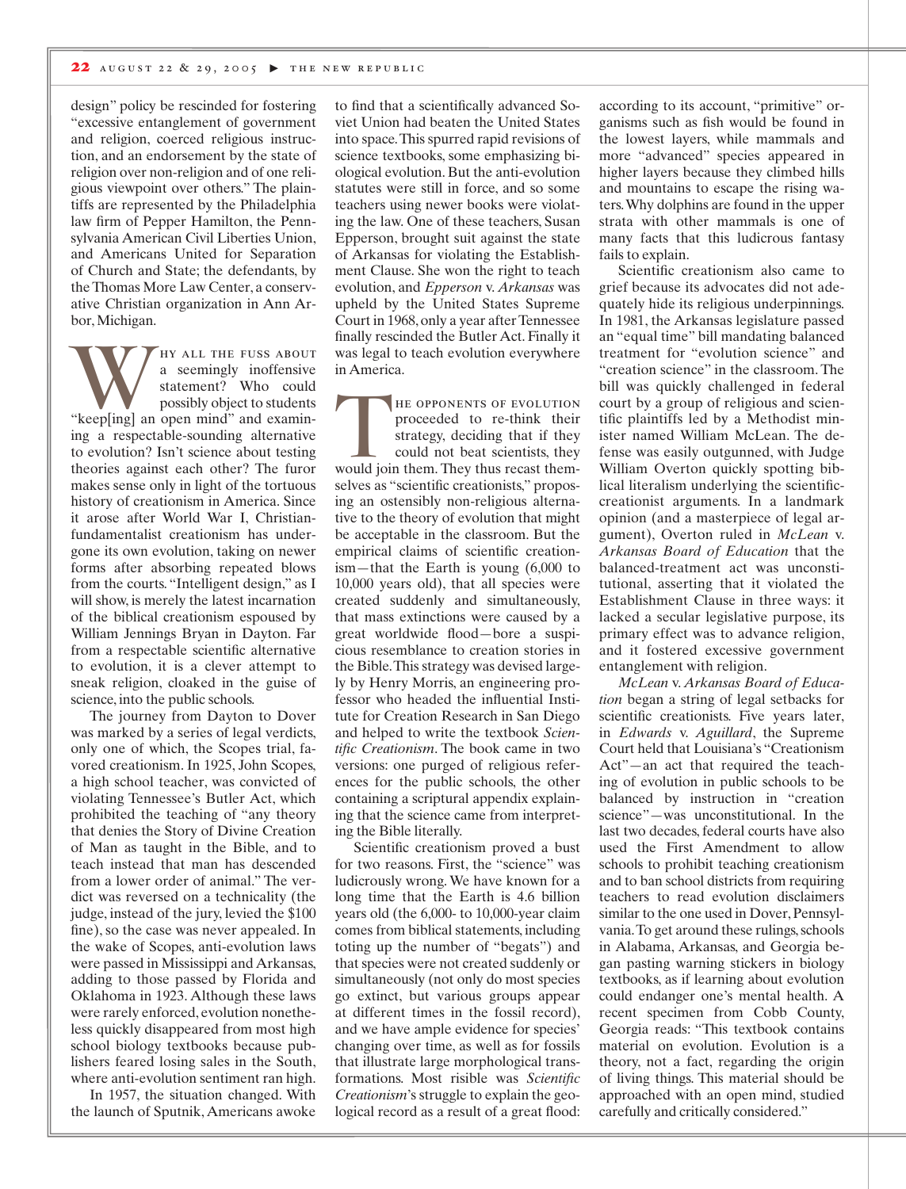design" policy be rescinded for fostering "excessive entanglement of government and religion, coerced religious instruction, and an endorsement by the state of religion over non-religion and of one religious viewpoint over others." The plaintiffs are represented by the Philadelphia law firm of Pepper Hamilton, the Pennsylvania American Civil Liberties Union, and Americans United for Separation of Church and State; the defendants, by the Thomas More Law Center, a conservative Christian organization in Ann Arbor, Michigan.

WWW a seemingly inoffensive<br>
statement? Who could<br>
"keep[ing] an open mind" and examina seemingly inoffensive statement? Who could possibly object to students ing a respectable-sounding alternative to evolution? Isn't science about testing theories against each other? The furor makes sense only in light of the tortuous history of creationism in America. Since it arose after World War I, Christianfundamentalist creationism has undergone its own evolution, taking on newer forms after absorbing repeated blows from the courts. "Intelligent design," as I will show, is merely the latest incarnation of the biblical creationism espoused by William Jennings Bryan in Dayton. Far from a respectable scientific alternative to evolution, it is a clever attempt to sneak religion, cloaked in the guise of science, into the public schools.

The journey from Dayton to Dover was marked by a series of legal verdicts, only one of which, the Scopes trial, favored creationism. In 1925, John Scopes, a high school teacher, was convicted of violating Tennessee's Butler Act, which prohibited the teaching of "any theory that denies the Story of Divine Creation of Man as taught in the Bible, and to teach instead that man has descended from a lower order of animal." The verdict was reversed on a technicality (the judge, instead of the jury, levied the \$100 fine), so the case was never appealed. In the wake of Scopes, anti-evolution laws were passed in Mississippi and Arkansas, adding to those passed by Florida and Oklahoma in 1923. Although these laws were rarely enforced, evolution nonetheless quickly disappeared from most high school biology textbooks because publishers feared losing sales in the South, where anti-evolution sentiment ran high.

In 1957, the situation changed. With the launch of Sputnik, Americans awoke to find that a scientifically advanced Soviet Union had beaten the United States into space.This spurred rapid revisions of science textbooks, some emphasizing biological evolution. But the anti-evolution statutes were still in force, and so some teachers using newer books were violating the law. One of these teachers, Susan Epperson, brought suit against the state of Arkansas for violating the Establishment Clause. She won the right to teach evolution, and *Epperson* v. *Arkansas* was upheld by the United States Supreme Court in 1968, only a year after Tennessee finally rescinded the Butler Act. Finally it was legal to teach evolution everywhere in America.

THE OPPONENTS OF EVOLUTION<br>proceeded to re-think their<br>strategy, deciding that if they<br>could not beat scientists, they<br>would join them. They thus recast themproceeded to re-think their strategy, deciding that if they could not beat scientists, they selves as "scientific creationists," proposing an ostensibly non-religious alternative to the theory of evolution that might be acceptable in the classroom. But the empirical claims of scientific creationism—that the Earth is young (6,000 to 10,000 years old), that all species were created suddenly and simultaneously, that mass extinctions were caused by a great worldwide flood—bore a suspicious resemblance to creation stories in the Bible.This strategy was devised largely by Henry Morris, an engineering professor who headed the influential Institute for Creation Research in San Diego and helped to write the textbook *Scientific Creationism*. The book came in two versions: one purged of religious references for the public schools, the other containing a scriptural appendix explaining that the science came from interpreting the Bible literally.

Scientific creationism proved a bust for two reasons. First, the "science" was ludicrously wrong. We have known for a long time that the Earth is 4.6 billion years old (the 6,000- to 10,000-year claim comes from biblical statements, including toting up the number of "begats") and that species were not created suddenly or simultaneously (not only do most species go extinct, but various groups appear at different times in the fossil record), and we have ample evidence for species' changing over time, as well as for fossils that illustrate large morphological transformations. Most risible was *Scientific Creationism*'s struggle to explain the geological record as a result of a great flood:

according to its account, "primitive" organisms such as fish would be found in the lowest layers, while mammals and more "advanced" species appeared in higher layers because they climbed hills and mountains to escape the rising waters.Why dolphins are found in the upper strata with other mammals is one of many facts that this ludicrous fantasy fails to explain.

Scientific creationism also came to grief because its advocates did not adequately hide its religious underpinnings. In 1981, the Arkansas legislature passed an "equal time" bill mandating balanced treatment for "evolution science" and "creation science" in the classroom. The bill was quickly challenged in federal court by a group of religious and scientific plaintiffs led by a Methodist minister named William McLean. The defense was easily outgunned, with Judge William Overton quickly spotting biblical literalism underlying the scientificcreationist arguments. In a landmark opinion (and a masterpiece of legal argument), Overton ruled in *McLean* v. *Arkansas Board of Education* that the balanced-treatment act was unconstitutional, asserting that it violated the Establishment Clause in three ways: it lacked a secular legislative purpose, its primary effect was to advance religion, and it fostered excessive government entanglement with religion.

*McLean* v. *Arkansas Board of Education* began a string of legal setbacks for scientific creationists. Five years later, in *Edwards* v. *Aguillard*, the Supreme Court held that Louisiana's "Creationism Act"—an act that required the teaching of evolution in public schools to be balanced by instruction in "creation science"—was unconstitutional. In the last two decades, federal courts have also used the First Amendment to allow schools to prohibit teaching creationism and to ban school districts from requiring teachers to read evolution disclaimers similar to the one used in Dover, Pennsylvania.To get around these rulings, schools in Alabama, Arkansas, and Georgia began pasting warning stickers in biology textbooks, as if learning about evolution could endanger one's mental health. A recent specimen from Cobb County, Georgia reads: "This textbook contains material on evolution. Evolution is a theory, not a fact, regarding the origin of living things. This material should be approached with an open mind, studied carefully and critically considered."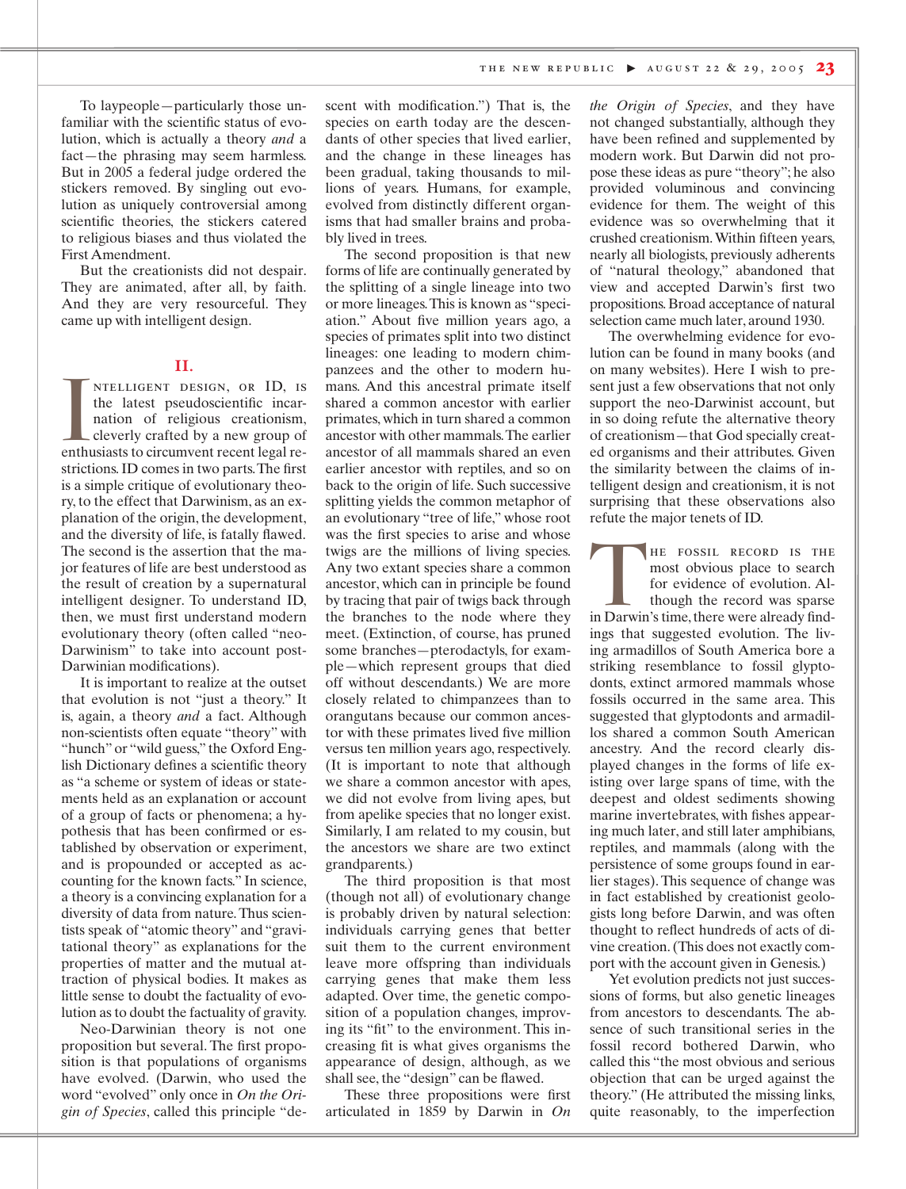To laypeople—particularly those unfamiliar with the scientific status of evolution, which is actually a theory *and* a fact—the phrasing may seem harmless. But in 2005 a federal judge ordered the stickers removed. By singling out evolution as uniquely controversial among scientific theories, the stickers catered to religious biases and thus violated the First Amendment.

But the creationists did not despair. They are animated, after all, by faith. And they are very resourceful. They came up with intelligent design.

## **II.**

IMPINTELLIGENT DESIGN, OR ID, IS<br>the latest pseudoscientific incar-<br>nation of religious creationism,<br>cleverly crafted by a new group of<br>enthusiasts to circumvent recent legal rentelligent design, or ID, is the latest pseudoscientific incarnation of religious creationism, cleverly crafted by a new group of strictions. ID comes in two parts.The first is a simple critique of evolutionary theory, to the effect that Darwinism, as an explanation of the origin, the development, and the diversity of life, is fatally flawed. The second is the assertion that the major features of life are best understood as the result of creation by a supernatural intelligent designer. To understand ID, then, we must first understand modern evolutionary theory (often called "neo-Darwinism" to take into account post-Darwinian modifications).

It is important to realize at the outset that evolution is not "just a theory." It is, again, a theory *and* a fact. Although non-scientists often equate "theory" with "hunch" or "wild guess," the Oxford English Dictionary defines a scientific theory as "a scheme or system of ideas or statements held as an explanation or account of a group of facts or phenomena; a hypothesis that has been confirmed or established by observation or experiment, and is propounded or accepted as accounting for the known facts." In science, a theory is a convincing explanation for a diversity of data from nature. Thus scientists speak of "atomic theory" and "gravitational theory" as explanations for the properties of matter and the mutual attraction of physical bodies. It makes as little sense to doubt the factuality of evolution as to doubt the factuality of gravity.

Neo-Darwinian theory is not one proposition but several. The first proposition is that populations of organisms have evolved. (Darwin, who used the word "evolved" only once in *On the Origin of Species*, called this principle "descent with modification.") That is, the species on earth today are the descendants of other species that lived earlier, and the change in these lineages has been gradual, taking thousands to millions of years. Humans, for example, evolved from distinctly different organisms that had smaller brains and probably lived in trees.

The second proposition is that new forms of life are continually generated by the splitting of a single lineage into two or more lineages.This is known as "speciation." About five million years ago, a species of primates split into two distinct lineages: one leading to modern chimpanzees and the other to modern humans. And this ancestral primate itself shared a common ancestor with earlier primates, which in turn shared a common ancestor with other mammals.The earlier ancestor of all mammals shared an even earlier ancestor with reptiles, and so on back to the origin of life. Such successive splitting yields the common metaphor of an evolutionary "tree of life," whose root was the first species to arise and whose twigs are the millions of living species. Any two extant species share a common ancestor, which can in principle be found by tracing that pair of twigs back through the branches to the node where they meet. (Extinction, of course, has pruned some branches—pterodactyls, for example—which represent groups that died off without descendants.) We are more closely related to chimpanzees than to orangutans because our common ancestor with these primates lived five million versus ten million years ago, respectively. (It is important to note that although we share a common ancestor with apes, we did not evolve from living apes, but from apelike species that no longer exist. Similarly, I am related to my cousin, but the ancestors we share are two extinct grandparents.)

The third proposition is that most (though not all) of evolutionary change is probably driven by natural selection: individuals carrying genes that better suit them to the current environment leave more offspring than individuals carrying genes that make them less adapted. Over time, the genetic composition of a population changes, improving its "fit" to the environment. This increasing fit is what gives organisms the appearance of design, although, as we shall see, the "design" can be flawed.

These three propositions were first articulated in 1859 by Darwin in *On* *the Origin of Species*, and they have not changed substantially, although they have been refined and supplemented by modern work. But Darwin did not propose these ideas as pure "theory"; he also provided voluminous and convincing evidence for them. The weight of this evidence was so overwhelming that it crushed creationism. Within fifteen years, nearly all biologists, previously adherents of "natural theology," abandoned that view and accepted Darwin's first two propositions. Broad acceptance of natural selection came much later, around 1930.

The overwhelming evidence for evolution can be found in many books (and on many websites). Here I wish to present just a few observations that not only support the neo-Darwinist account, but in so doing refute the alternative theory of creationism—that God specially created organisms and their attributes. Given the similarity between the claims of intelligent design and creationism, it is not surprising that these observations also refute the major tenets of ID.

THE FOSSIL RECORD IS THE<br>
most obvious place to search<br>
for evidence of evolution. Al-<br>
though the record was sparse<br>
in Darwin's time, there were already findmost obvious place to search for evidence of evolution. Although the record was sparse ings that suggested evolution. The living armadillos of South America bore a striking resemblance to fossil glyptodonts, extinct armored mammals whose fossils occurred in the same area. This suggested that glyptodonts and armadillos shared a common South American ancestry. And the record clearly displayed changes in the forms of life existing over large spans of time, with the deepest and oldest sediments showing marine invertebrates, with fishes appearing much later, and still later amphibians, reptiles, and mammals (along with the persistence of some groups found in earlier stages). This sequence of change was in fact established by creationist geologists long before Darwin, and was often thought to reflect hundreds of acts of divine creation. (This does not exactly comport with the account given in Genesis.)

Yet evolution predicts not just successions of forms, but also genetic lineages from ancestors to descendants. The absence of such transitional series in the fossil record bothered Darwin, who called this "the most obvious and serious objection that can be urged against the theory." (He attributed the missing links, quite reasonably, to the imperfection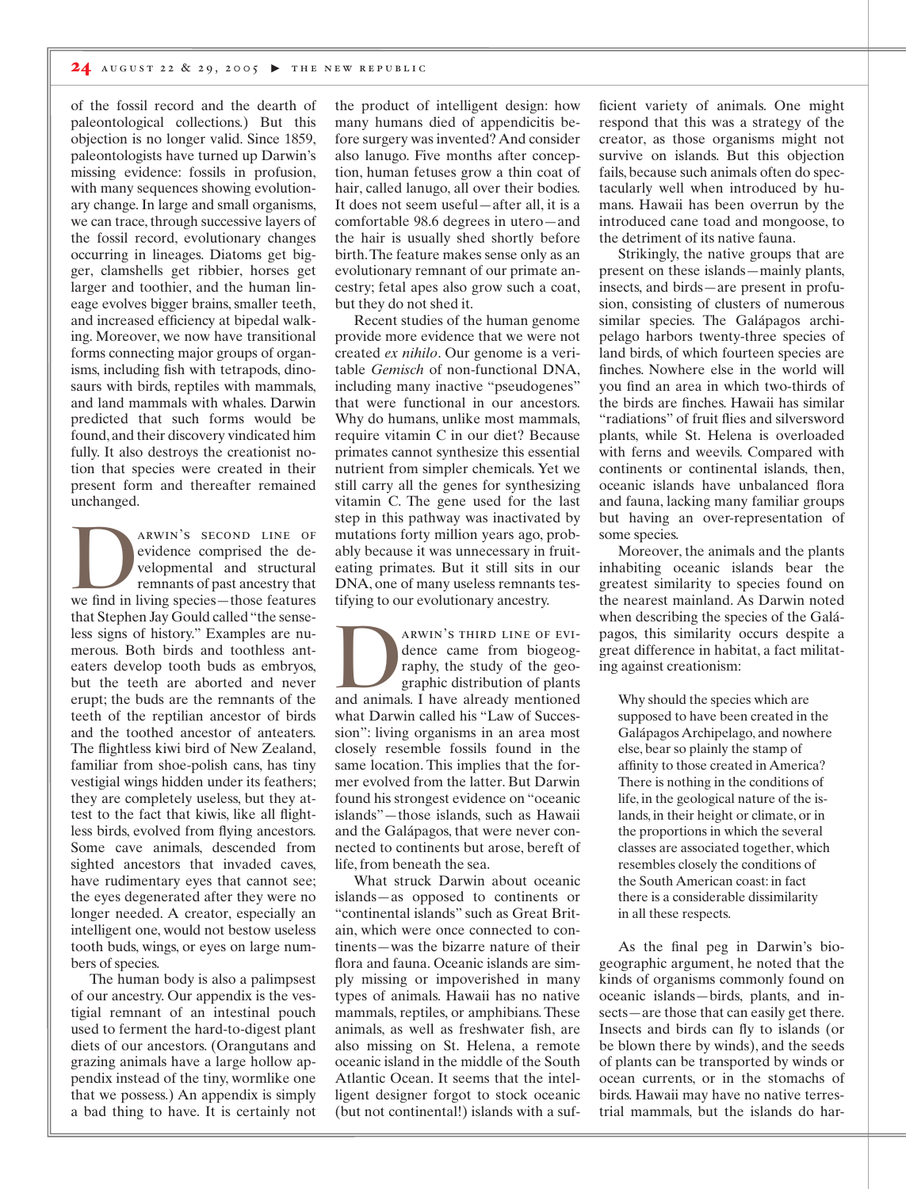of the fossil record and the dearth of paleontological collections.) But this objection is no longer valid. Since 1859, paleontologists have turned up Darwin's missing evidence: fossils in profusion, with many sequences showing evolutionary change. In large and small organisms, we can trace, through successive layers of the fossil record, evolutionary changes occurring in lineages. Diatoms get bigger, clamshells get ribbier, horses get larger and toothier, and the human lineage evolves bigger brains, smaller teeth, and increased efficiency at bipedal walking. Moreover, we now have transitional forms connecting major groups of organisms, including fish with tetrapods, dinosaurs with birds, reptiles with mammals, and land mammals with whales. Darwin predicted that such forms would be found, and their discovery vindicated him fully. It also destroys the creationist notion that species were created in their present form and thereafter remained unchanged.

ARWIN'S SECOND LINE OF<br>
evidence comprised the de-<br>
velopmental and structural<br>
remnants of past ancestry that<br>
we find in living species—those features evidence comprised the developmental and structural remnants of past ancestry that that Stephen Jay Gould called "the senseless signs of history." Examples are numerous. Both birds and toothless anteaters develop tooth buds as embryos, but the teeth are aborted and never erupt; the buds are the remnants of the teeth of the reptilian ancestor of birds and the toothed ancestor of anteaters. The flightless kiwi bird of New Zealand, familiar from shoe-polish cans, has tiny vestigial wings hidden under its feathers; they are completely useless, but they attest to the fact that kiwis, like all flightless birds, evolved from flying ancestors. Some cave animals, descended from sighted ancestors that invaded caves, have rudimentary eyes that cannot see; the eyes degenerated after they were no longer needed. A creator, especially an intelligent one, would not bestow useless tooth buds, wings, or eyes on large numbers of species.

The human body is also a palimpsest of our ancestry. Our appendix is the vestigial remnant of an intestinal pouch used to ferment the hard-to-digest plant diets of our ancestors. (Orangutans and grazing animals have a large hollow appendix instead of the tiny, wormlike one that we possess.) An appendix is simply a bad thing to have. It is certainly not

the product of intelligent design: how many humans died of appendicitis before surgery was invented? And consider also lanugo. Five months after conception, human fetuses grow a thin coat of hair, called lanugo, all over their bodies. It does not seem useful—after all, it is a comfortable 98.6 degrees in utero—and the hair is usually shed shortly before birth.The feature makes sense only as an evolutionary remnant of our primate ancestry; fetal apes also grow such a coat, but they do not shed it.

Recent studies of the human genome provide more evidence that we were not created *ex nihilo*. Our genome is a veritable *Gemisch* of non-functional DNA, including many inactive "pseudogenes" that were functional in our ancestors. Why do humans, unlike most mammals, require vitamin C in our diet? Because primates cannot synthesize this essential nutrient from simpler chemicals. Yet we still carry all the genes for synthesizing vitamin C. The gene used for the last step in this pathway was inactivated by mutations forty million years ago, probably because it was unnecessary in fruiteating primates. But it still sits in our DNA, one of many useless remnants testifying to our evolutionary ancestry.

ARWIN'S THIRD LINE OF EVI-<br>dence came from biogeography, the study of the geographic distribution of plants<br>and animals. I have already mentioned dence came from biogeography, the study of the geographic distribution of plants what Darwin called his "Law of Succession": living organisms in an area most closely resemble fossils found in the same location. This implies that the former evolved from the latter. But Darwin found his strongest evidence on "oceanic islands"—those islands, such as Hawaii and the Galápagos, that were never connected to continents but arose, bereft of life, from beneath the sea.

What struck Darwin about oceanic islands—as opposed to continents or "continental islands" such as Great Britain, which were once connected to continents—was the bizarre nature of their flora and fauna. Oceanic islands are simply missing or impoverished in many types of animals. Hawaii has no native mammals, reptiles, or amphibians. These animals, as well as freshwater fish, are also missing on St. Helena, a remote oceanic island in the middle of the South Atlantic Ocean. It seems that the intelligent designer forgot to stock oceanic (but not continental!) islands with a suf-

ficient variety of animals. One might respond that this was a strategy of the creator, as those organisms might not survive on islands. But this objection fails, because such animals often do spectacularly well when introduced by humans. Hawaii has been overrun by the introduced cane toad and mongoose, to the detriment of its native fauna.

Strikingly, the native groups that are present on these islands—mainly plants, insects, and birds—are present in profusion, consisting of clusters of numerous similar species. The Galápagos archipelago harbors twenty-three species of land birds, of which fourteen species are finches. Nowhere else in the world will you find an area in which two-thirds of the birds are finches. Hawaii has similar "radiations" of fruit flies and silversword plants, while St. Helena is overloaded with ferns and weevils. Compared with continents or continental islands, then, oceanic islands have unbalanced flora and fauna, lacking many familiar groups but having an over-representation of some species.

Moreover, the animals and the plants inhabiting oceanic islands bear the greatest similarity to species found on the nearest mainland. As Darwin noted when describing the species of the Galápagos, this similarity occurs despite a great difference in habitat, a fact militating against creationism:

Why should the species which are supposed to have been created in the Galápagos Archipelago, and nowhere else, bear so plainly the stamp of affinity to those created in America? There is nothing in the conditions of life, in the geological nature of the islands, in their height or climate, or in the proportions in which the several classes are associated together, which resembles closely the conditions of the South American coast: in fact there is a considerable dissimilarity in all these respects.

As the final peg in Darwin's biogeographic argument, he noted that the kinds of organisms commonly found on oceanic islands—birds, plants, and insects—are those that can easily get there. Insects and birds can fly to islands (or be blown there by winds), and the seeds of plants can be transported by winds or ocean currents, or in the stomachs of birds. Hawaii may have no native terrestrial mammals, but the islands do har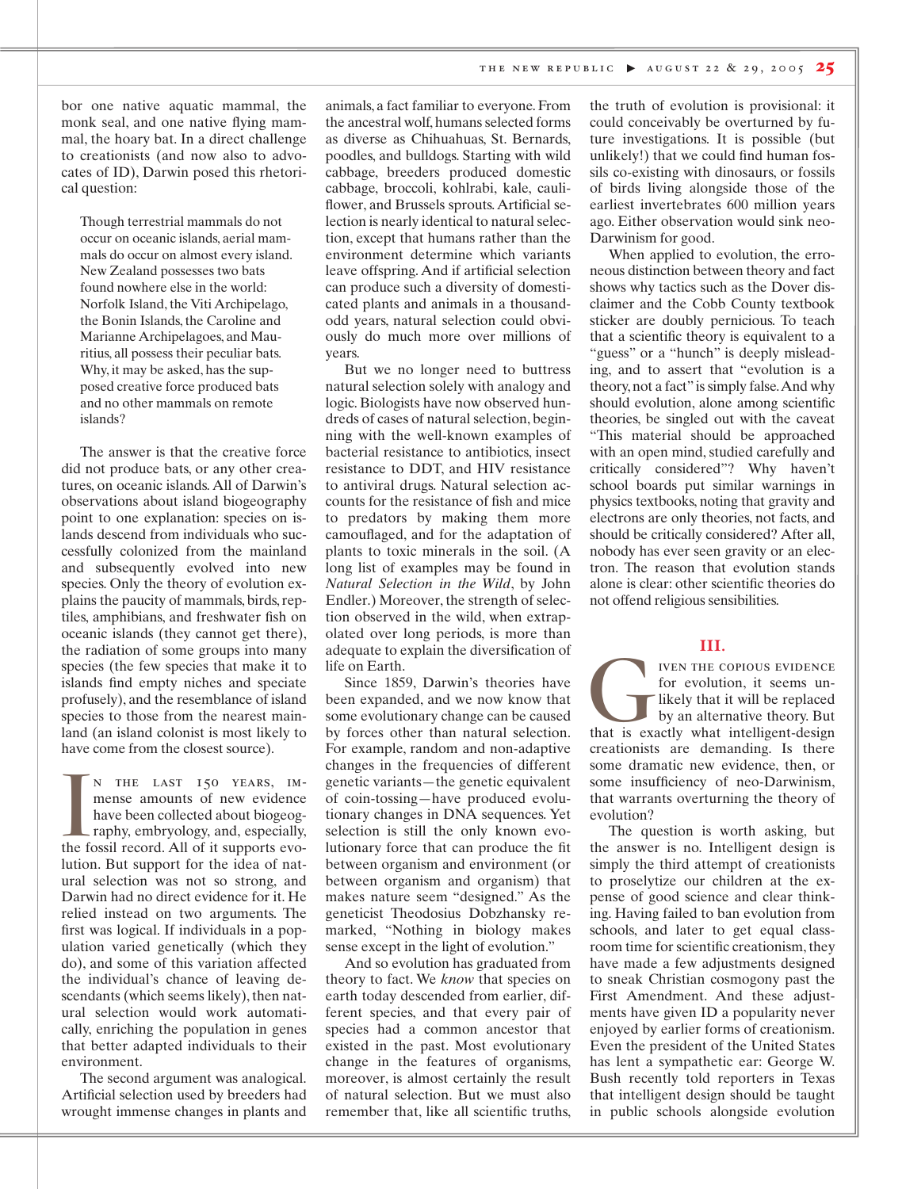bor one native aquatic mammal, the monk seal, and one native flying mammal, the hoary bat. In a direct challenge to creationists (and now also to advocates of ID), Darwin posed this rhetorical question:

Though terrestrial mammals do not occur on oceanic islands, aerial mammals do occur on almost every island. New Zealand possesses two bats found nowhere else in the world: Norfolk Island, the Viti Archipelago, the Bonin Islands, the Caroline and Marianne Archipelagoes, and Mauritius, all possess their peculiar bats. Why, it may be asked, has the supposed creative force produced bats and no other mammals on remote islands?

The answer is that the creative force did not produce bats, or any other creatures, on oceanic islands. All of Darwin's observations about island biogeography point to one explanation: species on islands descend from individuals who successfully colonized from the mainland and subsequently evolved into new species. Only the theory of evolution explains the paucity of mammals, birds, reptiles, amphibians, and freshwater fish on oceanic islands (they cannot get there), the radiation of some groups into many species (the few species that make it to islands find empty niches and speciate profusely), and the resemblance of island species to those from the nearest mainland (an island colonist is most likely to have come from the closest source).

N THE LAST 150 YEARS, IM-<br>mense amounts of new evidence<br>have been collected about biogeog-<br>raphy, embryology, and, especially,<br>the fossil record. All of it supports evon the last 150 years, immense amounts of new evidence have been collected about biogeography, embryology, and, especially, lution. But support for the idea of natural selection was not so strong, and Darwin had no direct evidence for it. He relied instead on two arguments. The first was logical. If individuals in a population varied genetically (which they do), and some of this variation affected the individual's chance of leaving descendants (which seems likely), then natural selection would work automatically, enriching the population in genes that better adapted individuals to their environment.

The second argument was analogical. Artificial selection used by breeders had wrought immense changes in plants and

animals, a fact familiar to everyone. From the ancestral wolf, humans selected forms as diverse as Chihuahuas, St. Bernards, poodles, and bulldogs. Starting with wild cabbage, breeders produced domestic cabbage, broccoli, kohlrabi, kale, cauliflower, and Brussels sprouts.Artificial selection is nearly identical to natural selection, except that humans rather than the environment determine which variants leave offspring. And if artificial selection can produce such a diversity of domesticated plants and animals in a thousandodd years, natural selection could obviously do much more over millions of years.

But we no longer need to buttress natural selection solely with analogy and logic. Biologists have now observed hundreds of cases of natural selection, beginning with the well-known examples of bacterial resistance to antibiotics, insect resistance to DDT, and HIV resistance to antiviral drugs. Natural selection accounts for the resistance of fish and mice to predators by making them more camouflaged, and for the adaptation of plants to toxic minerals in the soil. (A long list of examples may be found in *Natural Selection in the Wild*, by John Endler.) Moreover, the strength of selection observed in the wild, when extrapolated over long periods, is more than adequate to explain the diversification of life on Earth.

Since 1859, Darwin's theories have been expanded, and we now know that some evolutionary change can be caused by forces other than natural selection. For example, random and non-adaptive changes in the frequencies of different genetic variants—the genetic equivalent of coin-tossing—have produced evolutionary changes in DNA sequences. Yet selection is still the only known evolutionary force that can produce the fit between organism and environment (or between organism and organism) that makes nature seem "designed." As the geneticist Theodosius Dobzhansky remarked, "Nothing in biology makes sense except in the light of evolution."

And so evolution has graduated from theory to fact. We *know* that species on earth today descended from earlier, different species, and that every pair of species had a common ancestor that existed in the past. Most evolutionary change in the features of organisms, moreover, is almost certainly the result of natural selection. But we must also remember that, like all scientific truths,

the truth of evolution is provisional: it could conceivably be overturned by future investigations. It is possible (but unlikely!) that we could find human fossils co-existing with dinosaurs, or fossils of birds living alongside those of the earliest invertebrates 600 million years ago. Either observation would sink neo-Darwinism for good.

When applied to evolution, the erroneous distinction between theory and fact shows why tactics such as the Dover disclaimer and the Cobb County textbook sticker are doubly pernicious. To teach that a scientific theory is equivalent to a "guess" or a "hunch" is deeply misleading, and to assert that "evolution is a theory, not a fact" is simply false.And why should evolution, alone among scientific theories, be singled out with the caveat "This material should be approached with an open mind, studied carefully and critically considered"? Why haven't school boards put similar warnings in physics textbooks, noting that gravity and electrons are only theories, not facts, and should be critically considered? After all, nobody has ever seen gravity or an electron. The reason that evolution stands alone is clear: other scientific theories do not offend religious sensibilities.

## **III.**

THE COPIOUS EVIDENCE for evolution, it seems unlikely that it will be replaced by an alternative theory. But that is exactly what intelligent-design for evolution, it seems unlikely that it will be replaced by an alternative theory. But creationists are demanding. Is there some dramatic new evidence, then, or some insufficiency of neo-Darwinism, that warrants overturning the theory of evolution?

The question is worth asking, but the answer is no. Intelligent design is simply the third attempt of creationists to proselytize our children at the expense of good science and clear thinking. Having failed to ban evolution from schools, and later to get equal classroom time for scientific creationism, they have made a few adjustments designed to sneak Christian cosmogony past the First Amendment. And these adjustments have given ID a popularity never enjoyed by earlier forms of creationism. Even the president of the United States has lent a sympathetic ear: George W. Bush recently told reporters in Texas that intelligent design should be taught in public schools alongside evolution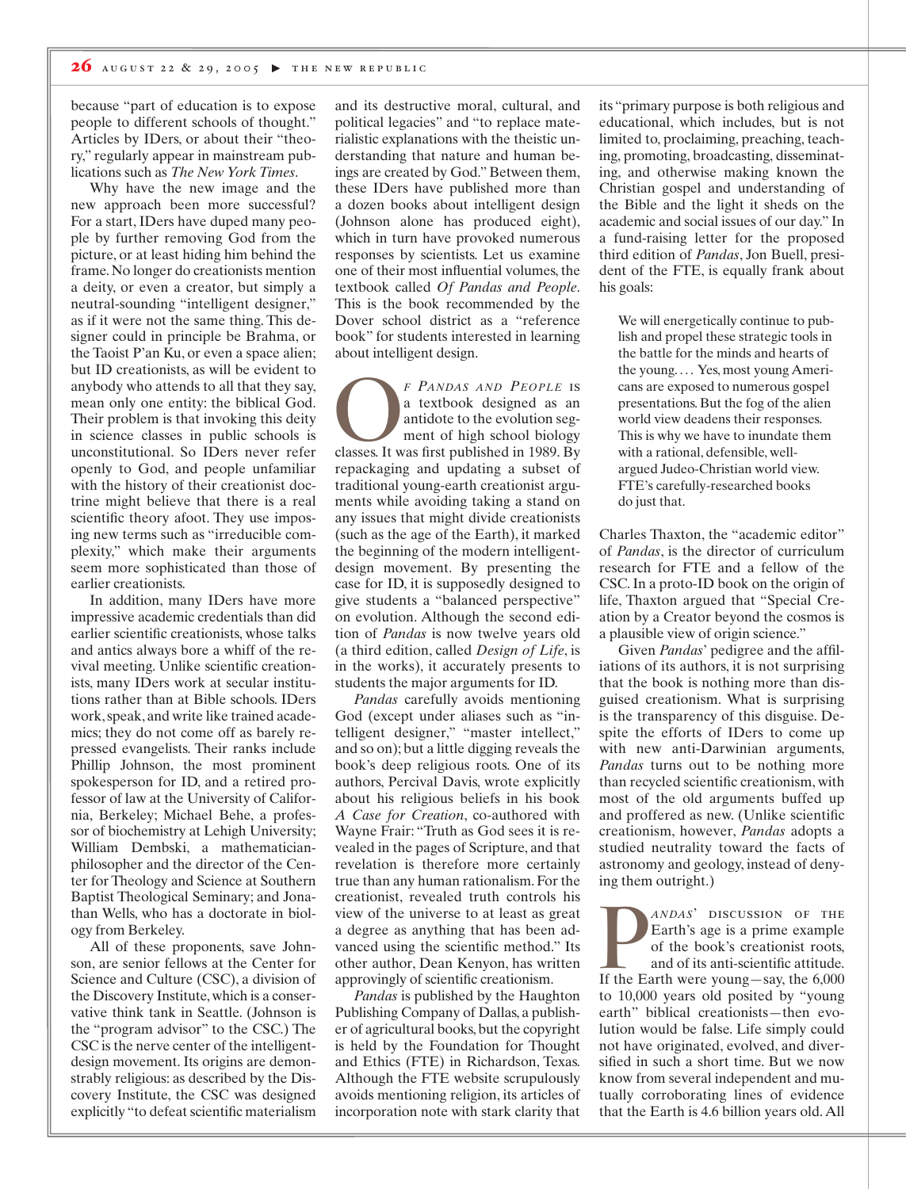because "part of education is to expose people to different schools of thought." Articles by IDers, or about their "theory," regularly appear in mainstream publications such as *The New York Times*.

Why have the new image and the new approach been more successful? For a start, IDers have duped many people by further removing God from the picture, or at least hiding him behind the frame. No longer do creationists mention a deity, or even a creator, but simply a neutral-sounding "intelligent designer," as if it were not the same thing. This designer could in principle be Brahma, or the Taoist P'an Ku, or even a space alien; but ID creationists, as will be evident to anybody who attends to all that they say, mean only one entity: the biblical God. Their problem is that invoking this deity in science classes in public schools is unconstitutional. So IDers never refer openly to God, and people unfamiliar with the history of their creationist doctrine might believe that there is a real scientific theory afoot. They use imposing new terms such as "irreducible complexity," which make their arguments seem more sophisticated than those of earlier creationists.

In addition, many IDers have more impressive academic credentials than did earlier scientific creationists, whose talks and antics always bore a whiff of the revival meeting. Unlike scientific creationists, many IDers work at secular institutions rather than at Bible schools. IDers work, speak, and write like trained academics; they do not come off as barely repressed evangelists. Their ranks include Phillip Johnson, the most prominent spokesperson for ID, and a retired professor of law at the University of California, Berkeley; Michael Behe, a professor of biochemistry at Lehigh University; William Dembski, a mathematicianphilosopher and the director of the Center for Theology and Science at Southern Baptist Theological Seminary; and Jonathan Wells, who has a doctorate in biology from Berkeley.

All of these proponents, save Johnson, are senior fellows at the Center for Science and Culture (CSC), a division of the Discovery Institute, which is a conservative think tank in Seattle. (Johnson is the "program advisor" to the CSC.) The CSC is the nerve center of the intelligentdesign movement. Its origins are demonstrably religious: as described by the Discovery Institute, the CSC was designed explicitly "to defeat scientific materialism

and its destructive moral, cultural, and political legacies" and "to replace materialistic explanations with the theistic understanding that nature and human beings are created by God." Between them, these IDers have published more than a dozen books about intelligent design (Johnson alone has produced eight), which in turn have provoked numerous responses by scientists. Let us examine one of their most influential volumes, the textbook called *Of Pandas and People*. This is the book recommended by the Dover school district as a "reference book" for students interested in learning about intelligent design.

*F PANDAS AND PEOPLE* IS<br>a textbook designed as an<br>antidote to the evolution seg-<br>ment of high school biology<br>classes. It was first published in 1989. By a textbook designed as an antidote to the evolution segment of high school biology repackaging and updating a subset of traditional young-earth creationist arguments while avoiding taking a stand on any issues that might divide creationists (such as the age of the Earth), it marked the beginning of the modern intelligentdesign movement. By presenting the case for ID, it is supposedly designed to give students a "balanced perspective" on evolution. Although the second edition of *Pandas* is now twelve years old (a third edition, called *Design of Life*, is in the works), it accurately presents to students the major arguments for ID.

*Pandas* carefully avoids mentioning God (except under aliases such as "intelligent designer," "master intellect," and so on); but a little digging reveals the book's deep religious roots. One of its authors, Percival Davis, wrote explicitly about his religious beliefs in his book *A Case for Creation*, co-authored with Wayne Frair: "Truth as God sees it is revealed in the pages of Scripture, and that revelation is therefore more certainly true than any human rationalism. For the creationist, revealed truth controls his view of the universe to at least as great a degree as anything that has been advanced using the scientific method." Its other author, Dean Kenyon, has written approvingly of scientific creationism.

*Pandas* is published by the Haughton Publishing Company of Dallas, a publisher of agricultural books, but the copyright is held by the Foundation for Thought and Ethics (FTE) in Richardson, Texas. Although the FTE website scrupulously avoids mentioning religion, its articles of incorporation note with stark clarity that

its "primary purpose is both religious and educational, which includes, but is not limited to, proclaiming, preaching, teaching, promoting, broadcasting, disseminating, and otherwise making known the Christian gospel and understanding of the Bible and the light it sheds on the academic and social issues of our day." In a fund-raising letter for the proposed third edition of *Pandas*, Jon Buell, president of the FTE, is equally frank about his goals:

We will energetically continue to publish and propel these strategic tools in the battle for the minds and hearts of the young.... Yes, most young Americans are exposed to numerous gospel presentations. But the fog of the alien world view deadens their responses. This is why we have to inundate them with a rational, defensible, wellargued Judeo-Christian world view. FTE's carefully-researched books do just that.

Charles Thaxton, the "academic editor" of *Pandas*, is the director of curriculum research for FTE and a fellow of the CSC. In a proto-ID book on the origin of life, Thaxton argued that "Special Creation by a Creator beyond the cosmos is a plausible view of origin science."

Given *Pandas*' pedigree and the affiliations of its authors, it is not surprising that the book is nothing more than disguised creationism. What is surprising is the transparency of this disguise. Despite the efforts of IDers to come up with new anti-Darwinian arguments, *Pandas* turns out to be nothing more than recycled scientific creationism, with most of the old arguments buffed up and proffered as new. (Unlike scientific creationism, however, *Pandas* adopts a studied neutrality toward the facts of astronomy and geology, instead of denying them outright.)

*ANDAS*' DISCUSSION OF THE<br>Earth's age is a prime example<br>of the book's creationist roots,<br>and of its anti-scientific attitude.<br>If the Earth were young—say, the 6,000 Earth's age is a prime example of the book's creationist roots, and of its anti-scientific attitude. to 10,000 years old posited by "young earth" biblical creationists—then evolution would be false. Life simply could not have originated, evolved, and diversified in such a short time. But we now know from several independent and mutually corroborating lines of evidence that the Earth is 4.6 billion years old. All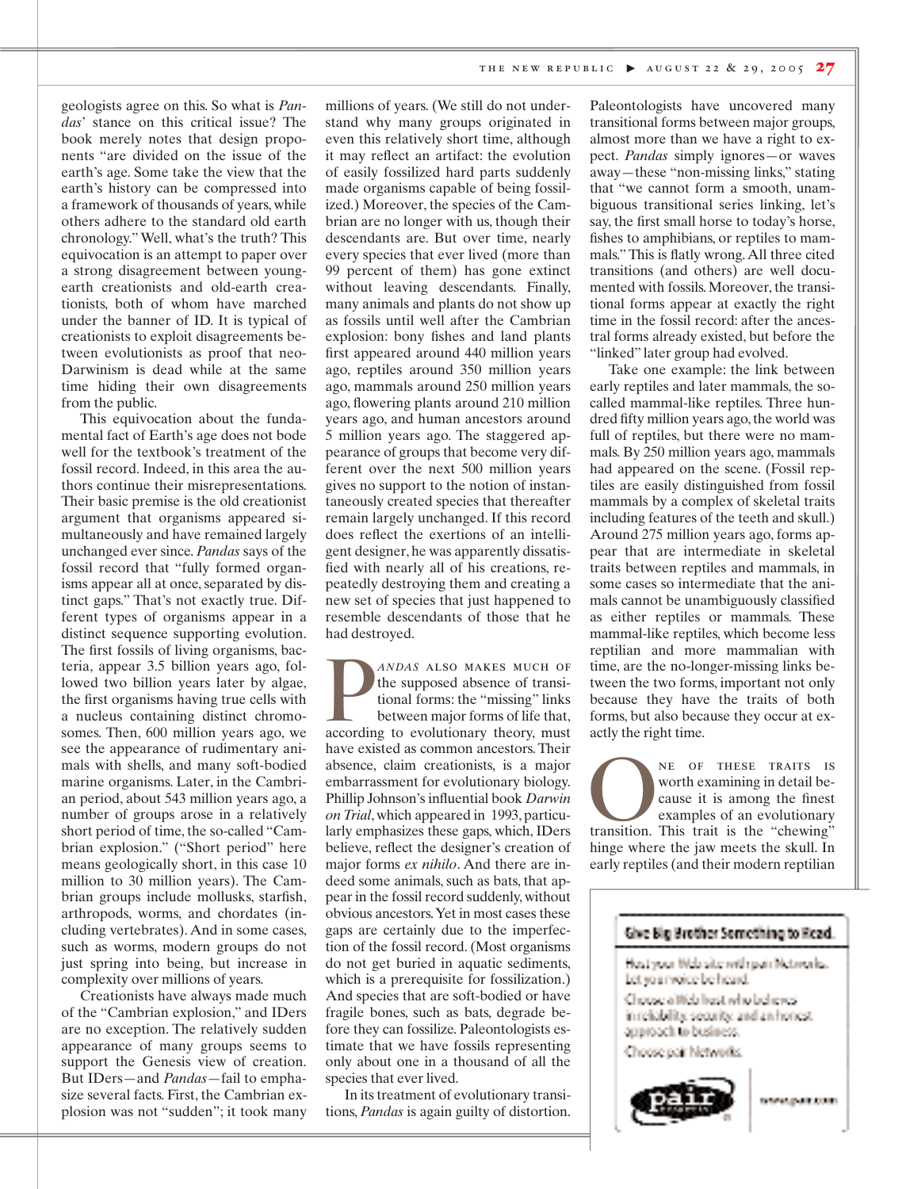geologists agree on this. So what is *Pandas*' stance on this critical issue? The book merely notes that design proponents "are divided on the issue of the earth's age. Some take the view that the earth's history can be compressed into a framework of thousands of years, while others adhere to the standard old earth chronology." Well, what's the truth? This equivocation is an attempt to paper over a strong disagreement between youngearth creationists and old-earth creationists, both of whom have marched under the banner of ID. It is typical of creationists to exploit disagreements between evolutionists as proof that neo-Darwinism is dead while at the same time hiding their own disagreements from the public.

This equivocation about the fundamental fact of Earth's age does not bode well for the textbook's treatment of the fossil record. Indeed, in this area the authors continue their misrepresentations. Their basic premise is the old creationist argument that organisms appeared simultaneously and have remained largely unchanged ever since. *Pandas* says of the fossil record that "fully formed organisms appear all at once, separated by distinct gaps." That's not exactly true. Different types of organisms appear in a distinct sequence supporting evolution. The first fossils of living organisms, bacteria, appear 3.5 billion years ago, followed two billion years later by algae, the first organisms having true cells with a nucleus containing distinct chromosomes. Then, 600 million years ago, we see the appearance of rudimentary animals with shells, and many soft-bodied marine organisms. Later, in the Cambrian period, about 543 million years ago, a number of groups arose in a relatively short period of time, the so-called "Cambrian explosion." ("Short period" here means geologically short, in this case 10 million to 30 million years). The Cambrian groups include mollusks, starfish, arthropods, worms, and chordates (including vertebrates). And in some cases, such as worms, modern groups do not just spring into being, but increase in complexity over millions of years.

Creationists have always made much of the "Cambrian explosion," and IDers are no exception. The relatively sudden appearance of many groups seems to support the Genesis view of creation. But IDers—and *Pandas*—fail to emphasize several facts. First, the Cambrian explosion was not "sudden"; it took many

millions of years. (We still do not understand why many groups originated in even this relatively short time, although it may reflect an artifact: the evolution of easily fossilized hard parts suddenly made organisms capable of being fossilized.) Moreover, the species of the Cambrian are no longer with us, though their descendants are. But over time, nearly every species that ever lived (more than 99 percent of them) has gone extinct without leaving descendants. Finally, many animals and plants do not show up as fossils until well after the Cambrian explosion: bony fishes and land plants first appeared around 440 million years ago, reptiles around 350 million years ago, mammals around 250 million years ago, flowering plants around 210 million years ago, and human ancestors around 5 million years ago. The staggered appearance of groups that become very different over the next 500 million years gives no support to the notion of instantaneously created species that thereafter remain largely unchanged. If this record does reflect the exertions of an intelligent designer, he was apparently dissatisfied with nearly all of his creations, repeatedly destroying them and creating a new set of species that just happened to resemble descendants of those that he had destroyed.

*ANDAS* ALSO MAKES MUCH OF<br>the supposed absence of transi-<br>tional forms: the "missing" links<br>between major forms of life that,<br>according to evolutionary theory, must the supposed absence of transitional forms: the "missing" links between major forms of life that, have existed as common ancestors. Their absence, claim creationists, is a major embarrassment for evolutionary biology. Phillip Johnson's influential book *Darwin on Trial*, which appeared in 1993, particularly emphasizes these gaps, which, IDers believe, reflect the designer's creation of major forms *ex nihilo*. And there are indeed some animals, such as bats, that appear in the fossil record suddenly, without obvious ancestors.Yet in most cases these gaps are certainly due to the imperfection of the fossil record. (Most organisms do not get buried in aquatic sediments, which is a prerequisite for fossilization.) And species that are soft-bodied or have fragile bones, such as bats, degrade before they can fossilize. Paleontologists estimate that we have fossils representing only about one in a thousand of all the species that ever lived.

In its treatment of evolutionary transitions, *Pandas* is again guilty of distortion.

Paleontologists have uncovered many transitional forms between major groups, almost more than we have a right to expect. *Pandas* simply ignores—or waves away—these "non-missing links," stating that "we cannot form a smooth, unambiguous transitional series linking, let's say, the first small horse to today's horse, fishes to amphibians, or reptiles to mammals." This is flatly wrong. All three cited transitions (and others) are well documented with fossils. Moreover, the transitional forms appear at exactly the right time in the fossil record: after the ancestral forms already existed, but before the "linked" later group had evolved.

Take one example: the link between early reptiles and later mammals, the socalled mammal-like reptiles. Three hundred fifty million years ago, the world was full of reptiles, but there were no mammals. By 250 million years ago, mammals had appeared on the scene. (Fossil reptiles are easily distinguished from fossil mammals by a complex of skeletal traits including features of the teeth and skull.) Around 275 million years ago, forms appear that are intermediate in skeletal traits between reptiles and mammals, in some cases so intermediate that the animals cannot be unambiguously classified as either reptiles or mammals. These mammal-like reptiles, which become less reptilian and more mammalian with time, are the no-longer-missing links between the two forms, important not only because they have the traits of both forms, but also because they occur at exactly the right time.

**ONE OF THESE TRAITS IS**<br>worth examining in detail be-<br>cause it is among the finest<br>examples of an evolutionary<br>transition. This trait is the "chewing" worth examining in detail because it is among the finest examples of an evolutionary hinge where the jaw meets the skull. In early reptiles (and their modern reptilian

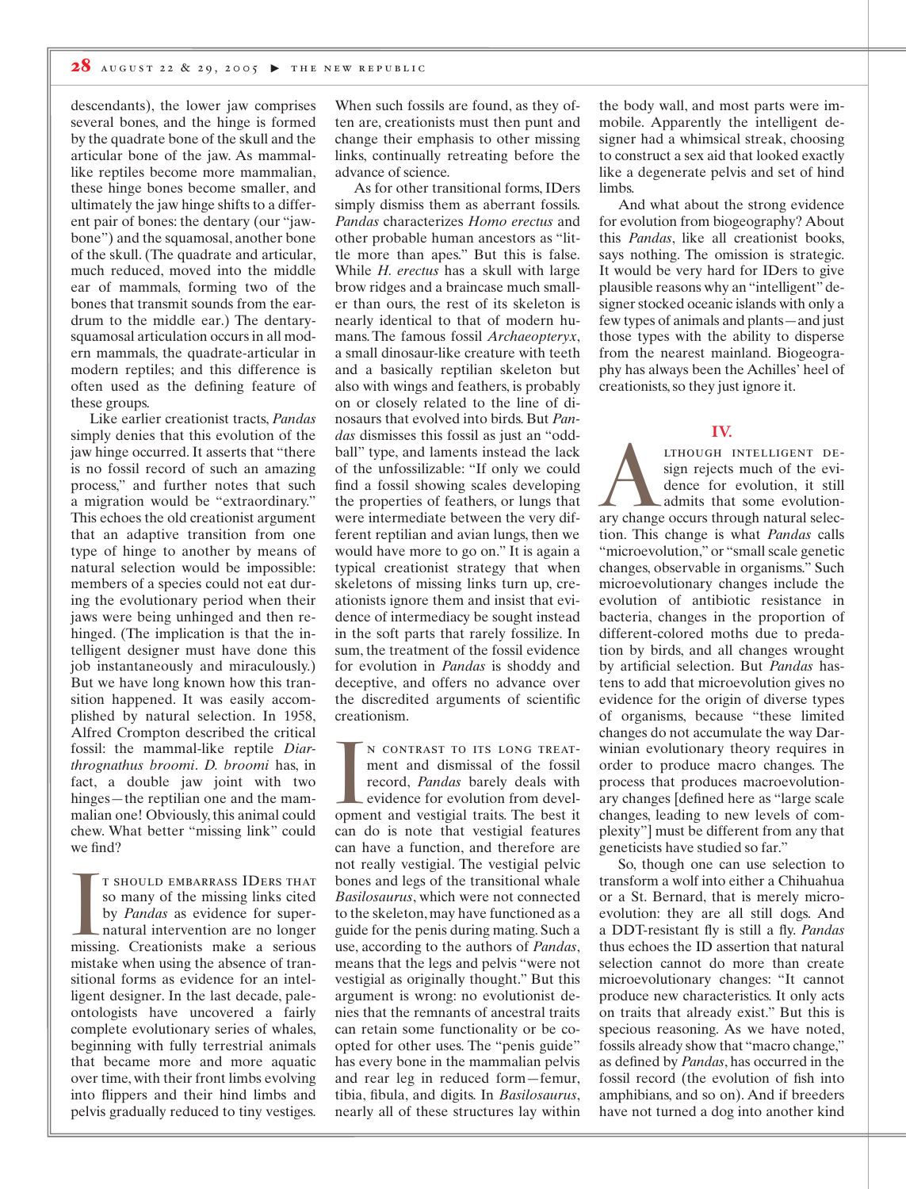descendants), the lower jaw comprises several bones, and the hinge is formed by the quadrate bone of the skull and the articular bone of the jaw. As mammallike reptiles become more mammalian, these hinge bones become smaller, and ultimately the jaw hinge shifts to a different pair of bones: the dentary (our "jawbone") and the squamosal, another bone of the skull. (The quadrate and articular, much reduced, moved into the middle ear of mammals, forming two of the bones that transmit sounds from the eardrum to the middle ear.) The dentarysquamosal articulation occurs in all modern mammals, the quadrate-articular in modern reptiles; and this difference is often used as the defining feature of these groups.

Like earlier creationist tracts, *Pandas* simply denies that this evolution of the jaw hinge occurred. It asserts that "there is no fossil record of such an amazing process," and further notes that such a migration would be "extraordinary." This echoes the old creationist argument that an adaptive transition from one type of hinge to another by means of natural selection would be impossible: members of a species could not eat during the evolutionary period when their jaws were being unhinged and then rehinged. (The implication is that the intelligent designer must have done this job instantaneously and miraculously.) But we have long known how this transition happened. It was easily accomplished by natural selection. In 1958, Alfred Crompton described the critical fossil: the mammal-like reptile *Diarthrognathus broomi*. *D. broomi* has, in fact, a double jaw joint with two hinges—the reptilian one and the mammalian one! Obviously, this animal could chew. What better "missing link" could we find?

T SHOULD EMBARRASS IDERS THAT<br>so many of the missing links cited<br>by *Pandas* as evidence for super-<br>natural intervention are no longer<br>missing. Creationists make a serious t should embarrass IDers that so many of the missing links cited by *Pandas* as evidence for supernatural intervention are no longer mistake when using the absence of transitional forms as evidence for an intelligent designer. In the last decade, paleontologists have uncovered a fairly complete evolutionary series of whales, beginning with fully terrestrial animals that became more and more aquatic over time, with their front limbs evolving into flippers and their hind limbs and pelvis gradually reduced to tiny vestiges.

When such fossils are found, as they often are, creationists must then punt and change their emphasis to other missing links, continually retreating before the advance of science.

As for other transitional forms, IDers simply dismiss them as aberrant fossils. *Pandas* characterizes *Homo erectus* and other probable human ancestors as "little more than apes." But this is false. While *H. erectus* has a skull with large brow ridges and a braincase much smaller than ours, the rest of its skeleton is nearly identical to that of modern humans. The famous fossil *Archaeopteryx*, a small dinosaur-like creature with teeth and a basically reptilian skeleton but also with wings and feathers, is probably on or closely related to the line of dinosaurs that evolved into birds. But *Pandas* dismisses this fossil as just an "oddball" type, and laments instead the lack of the unfossilizable: "If only we could find a fossil showing scales developing the properties of feathers, or lungs that were intermediate between the very different reptilian and avian lungs, then we would have more to go on." It is again a typical creationist strategy that when skeletons of missing links turn up, creationists ignore them and insist that evidence of intermediacy be sought instead in the soft parts that rarely fossilize. In sum, the treatment of the fossil evidence for evolution in *Pandas* is shoddy and deceptive, and offers no advance over the discredited arguments of scientific creationism.

N CONTRAST TO ITS LONG TREAT-<br>ment and dismissal of the fossil<br>record, *Pandas* barely deals with<br>evidence for evolution from devel-<br>opment and vestigial traits. The best it n contrast to its long treatment and dismissal of the fossil record, *Pandas* barely deals with evidence for evolution from develcan do is note that vestigial features can have a function, and therefore are not really vestigial. The vestigial pelvic bones and legs of the transitional whale *Basilosaurus*, which were not connected to the skeleton, may have functioned as a guide for the penis during mating. Such a use, according to the authors of *Pandas*, means that the legs and pelvis "were not vestigial as originally thought." But this argument is wrong: no evolutionist denies that the remnants of ancestral traits can retain some functionality or be coopted for other uses. The "penis guide" has every bone in the mammalian pelvis and rear leg in reduced form—femur, tibia, fibula, and digits. In *Basilosaurus*, nearly all of these structures lay within

the body wall, and most parts were immobile. Apparently the intelligent designer had a whimsical streak, choosing to construct a sex aid that looked exactly like a degenerate pelvis and set of hind limbs.

And what about the strong evidence for evolution from biogeography? About this *Pandas*, like all creationist books, says nothing. The omission is strategic. It would be very hard for IDers to give plausible reasons why an "intelligent" designer stocked oceanic islands with only a few types of animals and plants—and just those types with the ability to disperse from the nearest mainland. Biogeography has always been the Achilles' heel of creationists, so they just ignore it.

# **IV.**

THOUGH INTELLIGENT DE-<br>
sign rejects much of the evi-<br>
dence for evolution, it still<br>
admits that some evolution-<br>
ary change occurs through natural selecsign rejects much of the evidence for evolution, it still admits that some evolutiontion. This change is what *Pandas* calls "microevolution," or "small scale genetic changes, observable in organisms." Such microevolutionary changes include the evolution of antibiotic resistance in bacteria, changes in the proportion of different-colored moths due to predation by birds, and all changes wrought by artificial selection. But *Pandas* hastens to add that microevolution gives no evidence for the origin of diverse types of organisms, because "these limited changes do not accumulate the way Darwinian evolutionary theory requires in order to produce macro changes. The process that produces macroevolutionary changes [defined here as "large scale changes, leading to new levels of complexity"] must be different from any that geneticists have studied so far."

So, though one can use selection to transform a wolf into either a Chihuahua or a St. Bernard, that is merely microevolution: they are all still dogs. And a DDT-resistant fly is still a fly. *Pandas* thus echoes the ID assertion that natural selection cannot do more than create microevolutionary changes: "It cannot produce new characteristics. It only acts on traits that already exist." But this is specious reasoning. As we have noted, fossils already show that "macro change," as defined by *Pandas*, has occurred in the fossil record (the evolution of fish into amphibians, and so on). And if breeders have not turned a dog into another kind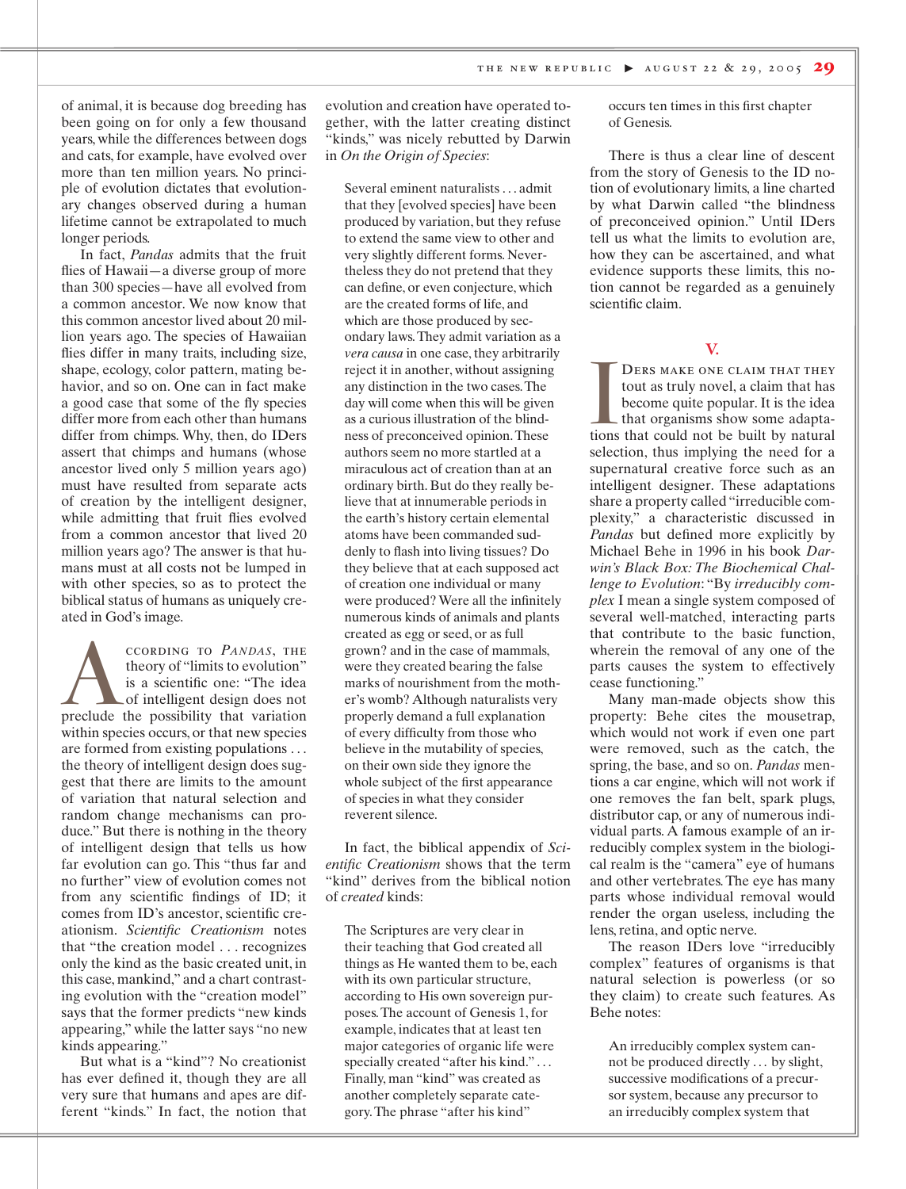of animal, it is because dog breeding has been going on for only a few thousand years, while the differences between dogs and cats, for example, have evolved over more than ten million years. No principle of evolution dictates that evolutionary changes observed during a human lifetime cannot be extrapolated to much longer periods.

In fact, *Pandas* admits that the fruit flies of Hawaii—a diverse group of more than 300 species—have all evolved from a common ancestor. We now know that this common ancestor lived about 20 million years ago. The species of Hawaiian flies differ in many traits, including size, shape, ecology, color pattern, mating behavior, and so on. One can in fact make a good case that some of the fly species differ more from each other than humans differ from chimps. Why, then, do IDers assert that chimps and humans (whose ancestor lived only 5 million years ago) must have resulted from separate acts of creation by the intelligent designer, while admitting that fruit flies evolved from a common ancestor that lived 20 million years ago? The answer is that humans must at all costs not be lumped in with other species, so as to protect the biblical status of humans as uniquely created in God's image.

CORDING TO *PANDAS*, THE theory of "limits to evolution" is a scientific one: "The idea of intelligent design does not preclude the possibility that variation theory of "limits to evolution" is a scientific one: "The idea of intelligent design does not within species occurs, or that new species are formed from existing populations . . . the theory of intelligent design does suggest that there are limits to the amount of variation that natural selection and random change mechanisms can produce." But there is nothing in the theory of intelligent design that tells us how far evolution can go. This "thus far and no further" view of evolution comes not from any scientific findings of ID; it comes from ID's ancestor, scientific creationism. *Scientific Creationism* notes that "the creation model . . . recognizes only the kind as the basic created unit, in this case, mankind," and a chart contrasting evolution with the "creation model" says that the former predicts "new kinds appearing," while the latter says "no new kinds appearing."

But what is a "kind"? No creationist has ever defined it, though they are all very sure that humans and apes are different "kinds." In fact, the notion that

evolution and creation have operated together, with the latter creating distinct "kinds," was nicely rebutted by Darwin in *On the Origin of Species*:

Several eminent naturalists . . . admit that they [evolved species] have been produced by variation, but they refuse to extend the same view to other and very slightly different forms. Nevertheless they do not pretend that they can define, or even conjecture, which are the created forms of life, and which are those produced by secondary laws.They admit variation as a *vera causa* in one case, they arbitrarily reject it in another, without assigning any distinction in the two cases.The day will come when this will be given as a curious illustration of the blindness of preconceived opinion.These authors seem no more startled at a miraculous act of creation than at an ordinary birth. But do they really believe that at innumerable periods in the earth's history certain elemental atoms have been commanded suddenly to flash into living tissues? Do they believe that at each supposed act of creation one individual or many were produced? Were all the infinitely numerous kinds of animals and plants created as egg or seed, or as full grown? and in the case of mammals, were they created bearing the false marks of nourishment from the mother's womb? Although naturalists very properly demand a full explanation of every difficulty from those who believe in the mutability of species, on their own side they ignore the whole subject of the first appearance of species in what they consider reverent silence.

In fact, the biblical appendix of *Scientific Creationism* shows that the term "kind" derives from the biblical notion of *created* kinds:

The Scriptures are very clear in their teaching that God created all things as He wanted them to be, each with its own particular structure, according to His own sovereign purposes.The account of Genesis 1, for example, indicates that at least ten major categories of organic life were specially created "after his kind."... Finally, man "kind" was created as another completely separate category.The phrase "after his kind"

occurs ten times in this first chapter of Genesis.

There is thus a clear line of descent from the story of Genesis to the ID notion of evolutionary limits, a line charted by what Darwin called "the blindness of preconceived opinion." Until IDers tell us what the limits to evolution are, how they can be ascertained, and what evidence supports these limits, this notion cannot be regarded as a genuinely scientific claim.

## **V.**

DERS MAKE ONE CLAIM THAT THEY<br>tout as truly novel, a claim that has<br>become quite popular. It is the idea<br>that organisms show some adapta-<br>tions that could not be built by natural Ders make one claim that they tout as truly novel, a claim that has become quite popular. It is the idea that organisms show some adaptaselection, thus implying the need for a supernatural creative force such as an intelligent designer. These adaptations share a property called "irreducible complexity," a characteristic discussed in *Pandas* but defined more explicitly by Michael Behe in 1996 in his book *Darwin's Black Box: The Biochemical Challenge to Evolution*: "By *irreducibly complex* I mean a single system composed of several well-matched, interacting parts that contribute to the basic function, wherein the removal of any one of the parts causes the system to effectively cease functioning."

Many man-made objects show this property: Behe cites the mousetrap, which would not work if even one part were removed, such as the catch, the spring, the base, and so on. *Pandas* mentions a car engine, which will not work if one removes the fan belt, spark plugs, distributor cap, or any of numerous individual parts. A famous example of an irreducibly complex system in the biological realm is the "camera" eye of humans and other vertebrates. The eye has many parts whose individual removal would render the organ useless, including the lens, retina, and optic nerve.

The reason IDers love "irreducibly complex" features of organisms is that natural selection is powerless (or so they claim) to create such features. As Behe notes:

An irreducibly complex system cannot be produced directly ... by slight, successive modifications of a precursor system, because any precursor to an irreducibly complex system that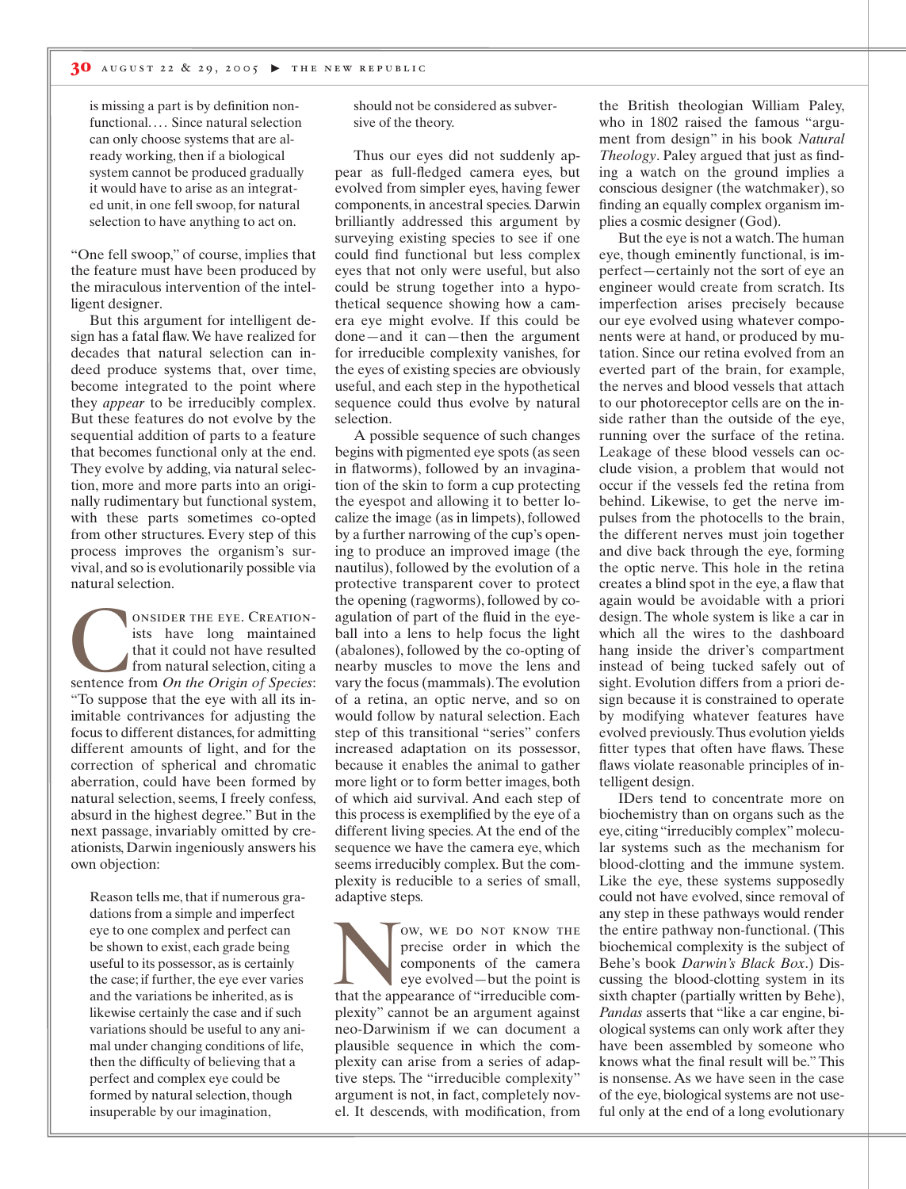is missing a part is by definition nonfunctional.... Since natural selection can only choose systems that are already working, then if a biological system cannot be produced gradually it would have to arise as an integrated unit, in one fell swoop, for natural selection to have anything to act on.

"One fell swoop," of course, implies that the feature must have been produced by the miraculous intervention of the intelligent designer.

But this argument for intelligent design has a fatal flaw.We have realized for decades that natural selection can indeed produce systems that, over time, become integrated to the point where they *appear* to be irreducibly complex. But these features do not evolve by the sequential addition of parts to a feature that becomes functional only at the end. They evolve by adding, via natural selection, more and more parts into an originally rudimentary but functional system, with these parts sometimes co-opted from other structures. Every step of this process improves the organism's survival, and so is evolutionarily possible via natural selection.

**CONSIDER THE EYE. CREATION-**<br>
ists have long maintained<br>
that it could not have resulted<br>
from natural selection, citing a<br>
sentence from *On the Origin of Species*: ists have long maintained that it could not have resulted from natural selection, citing a "To suppose that the eye with all its inimitable contrivances for adjusting the focus to different distances, for admitting different amounts of light, and for the correction of spherical and chromatic aberration, could have been formed by natural selection, seems, I freely confess, absurd in the highest degree." But in the next passage, invariably omitted by creationists, Darwin ingeniously answers his own objection:

Reason tells me, that if numerous gradations from a simple and imperfect eye to one complex and perfect can be shown to exist, each grade being useful to its possessor, as is certainly the case; if further, the eye ever varies and the variations be inherited, as is likewise certainly the case and if such variations should be useful to any animal under changing conditions of life, then the difficulty of believing that a perfect and complex eye could be formed by natural selection, though insuperable by our imagination,

should not be considered as subversive of the theory.

Thus our eyes did not suddenly appear as full-fledged camera eyes, but evolved from simpler eyes, having fewer components, in ancestral species. Darwin brilliantly addressed this argument by surveying existing species to see if one could find functional but less complex eyes that not only were useful, but also could be strung together into a hypothetical sequence showing how a camera eye might evolve. If this could be done—and it can—then the argument for irreducible complexity vanishes, for the eyes of existing species are obviously useful, and each step in the hypothetical sequence could thus evolve by natural selection.

A possible sequence of such changes begins with pigmented eye spots (as seen in flatworms), followed by an invagination of the skin to form a cup protecting the eyespot and allowing it to better localize the image (as in limpets), followed by a further narrowing of the cup's opening to produce an improved image (the nautilus), followed by the evolution of a protective transparent cover to protect the opening (ragworms), followed by coagulation of part of the fluid in the eyeball into a lens to help focus the light (abalones), followed by the co-opting of nearby muscles to move the lens and vary the focus (mammals).The evolution of a retina, an optic nerve, and so on would follow by natural selection. Each step of this transitional "series" confers increased adaptation on its possessor, because it enables the animal to gather more light or to form better images, both of which aid survival. And each step of this process is exemplified by the eye of a different living species. At the end of the sequence we have the camera eye, which seems irreducibly complex. But the complexity is reducible to a series of small, adaptive steps.

Now, we do not know the<br>precise order in which the<br>components of the camera<br>that the appearance of "irreducible comprecise order in which the components of the camera eye evolved—but the point is plexity" cannot be an argument against neo-Darwinism if we can document a plausible sequence in which the complexity can arise from a series of adaptive steps. The "irreducible complexity" argument is not, in fact, completely novel. It descends, with modification, from

the British theologian William Paley, who in 1802 raised the famous "argument from design" in his book *Natural Theology*. Paley argued that just as finding a watch on the ground implies a conscious designer (the watchmaker), so finding an equally complex organism implies a cosmic designer (God).

But the eye is not a watch.The human eye, though eminently functional, is imperfect—certainly not the sort of eye an engineer would create from scratch. Its imperfection arises precisely because our eye evolved using whatever components were at hand, or produced by mutation. Since our retina evolved from an everted part of the brain, for example, the nerves and blood vessels that attach to our photoreceptor cells are on the inside rather than the outside of the eye, running over the surface of the retina. Leakage of these blood vessels can occlude vision, a problem that would not occur if the vessels fed the retina from behind. Likewise, to get the nerve impulses from the photocells to the brain, the different nerves must join together and dive back through the eye, forming the optic nerve. This hole in the retina creates a blind spot in the eye, a flaw that again would be avoidable with a priori design. The whole system is like a car in which all the wires to the dashboard hang inside the driver's compartment instead of being tucked safely out of sight. Evolution differs from a priori design because it is constrained to operate by modifying whatever features have evolved previously.Thus evolution yields fitter types that often have flaws. These flaws violate reasonable principles of intelligent design.

IDers tend to concentrate more on biochemistry than on organs such as the eye, citing "irreducibly complex" molecular systems such as the mechanism for blood-clotting and the immune system. Like the eye, these systems supposedly could not have evolved, since removal of any step in these pathways would render the entire pathway non-functional. (This biochemical complexity is the subject of Behe's book *Darwin's Black Box*.) Discussing the blood-clotting system in its sixth chapter (partially written by Behe), *Pandas* asserts that "like a car engine, biological systems can only work after they have been assembled by someone who knows what the final result will be." This is nonsense. As we have seen in the case of the eye, biological systems are not useful only at the end of a long evolutionary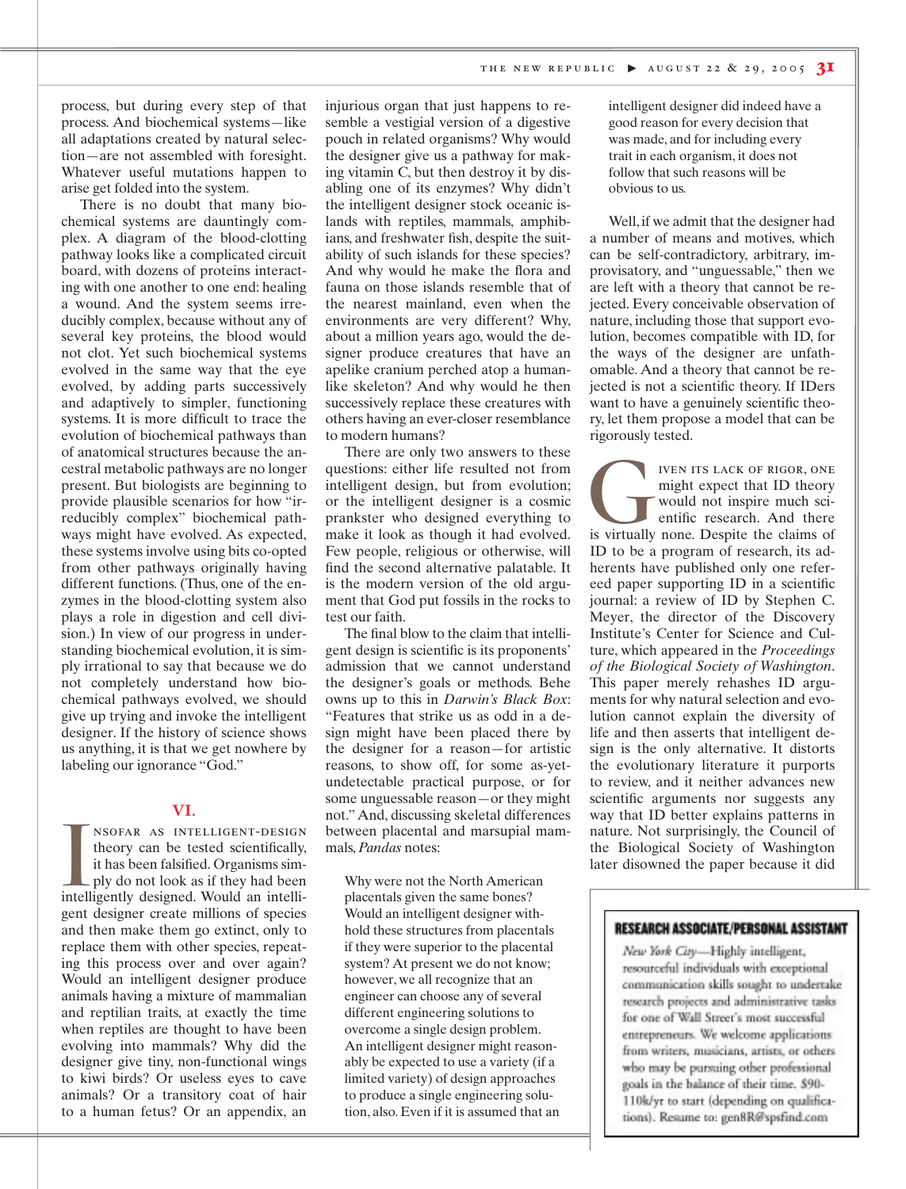process, but during every step of that process. And biochemical systems—like all adaptations created by natural selection—are not assembled with foresight. Whatever useful mutations happen to arise get folded into the system.

There is no doubt that many biochemical systems are dauntingly complex. A diagram of the blood-clotting pathway looks like a complicated circuit board, with dozens of proteins interacting with one another to one end: healing a wound. And the system seems irreducibly complex, because without any of several key proteins, the blood would not clot. Yet such biochemical systems evolved in the same way that the eye evolved, by adding parts successively and adaptively to simpler, functioning systems. It is more difficult to trace the evolution of biochemical pathways than of anatomical structures because the ancestral metabolic pathways are no longer present. But biologists are beginning to provide plausible scenarios for how "irreducibly complex" biochemical pathways might have evolved. As expected, these systems involve using bits co-opted from other pathways originally having different functions. (Thus, one of the enzymes in the blood-clotting system also plays a role in digestion and cell division.) In view of our progress in understanding biochemical evolution, it is simply irrational to say that because we do not completely understand how biochemical pathways evolved, we should give up trying and invoke the intelligent designer. If the history of science shows us anything, it is that we get nowhere by labeling our ignorance "God."

# **VI.**

IM NSOFAR AS INTELLIGENT-DESIGN<br>theory can be tested scientifically,<br>it has been falsified. Organisms sim-<br>ply do not look as if they had been<br>intelligently designed. Would an intellinsofar as intelligent-design theory can be tested scientifically, it has been falsified. Organisms simply do not look as if they had been gent designer create millions of species and then make them go extinct, only to replace them with other species, repeating this process over and over again? Would an intelligent designer produce animals having a mixture of mammalian and reptilian traits, at exactly the time when reptiles are thought to have been evolving into mammals? Why did the designer give tiny, non-functional wings to kiwi birds? Or useless eyes to cave animals? Or a transitory coat of hair to a human fetus? Or an appendix, an

injurious organ that just happens to resemble a vestigial version of a digestive pouch in related organisms? Why would the designer give us a pathway for making vitamin C, but then destroy it by disabling one of its enzymes? Why didn't the intelligent designer stock oceanic islands with reptiles, mammals, amphibians, and freshwater fish, despite the suitability of such islands for these species? And why would he make the flora and fauna on those islands resemble that of the nearest mainland, even when the environments are very different? Why, about a million years ago, would the designer produce creatures that have an apelike cranium perched atop a humanlike skeleton? And why would he then successively replace these creatures with others having an ever-closer resemblance to modern humans?

There are only two answers to these questions: either life resulted not from intelligent design, but from evolution; or the intelligent designer is a cosmic prankster who designed everything to make it look as though it had evolved. Few people, religious or otherwise, will find the second alternative palatable. It is the modern version of the old argument that God put fossils in the rocks to test our faith.

The final blow to the claim that intelligent design is scientific is its proponents' admission that we cannot understand the designer's goals or methods. Behe owns up to this in *Darwin's Black Box*: "Features that strike us as odd in a design might have been placed there by the designer for a reason—for artistic reasons, to show off, for some as-yetundetectable practical purpose, or for some unguessable reason—or they might not." And, discussing skeletal differences between placental and marsupial mammals,*Pandas* notes:

Why were not the North American placentals given the same bones? Would an intelligent designer withhold these structures from placentals if they were superior to the placental system? At present we do not know; however, we all recognize that an engineer can choose any of several different engineering solutions to overcome a single design problem. An intelligent designer might reasonably be expected to use a variety (if a limited variety) of design approaches to produce a single engineering solution, also. Even if it is assumed that an intelligent designer did indeed have a good reason for every decision that was made, and for including every trait in each organism, it does not follow that such reasons will be obvious to us.

Well, if we admit that the designer had a number of means and motives, which can be self-contradictory, arbitrary, improvisatory, and "unguessable," then we are left with a theory that cannot be rejected. Every conceivable observation of nature, including those that support evolution, becomes compatible with ID, for the ways of the designer are unfathomable. And a theory that cannot be rejected is not a scientific theory. If IDers want to have a genuinely scientific theory, let them propose a model that can be rigorously tested.

IVEN ITS LACK OF RIGOR, ONE<br>
might expect that ID theory<br>
would not inspire much sci-<br>
entific research. And there<br>
is virtually none. Despite the claims of might expect that ID theory would not inspire much scientific research. And there ID to be a program of research, its adherents have published only one refereed paper supporting ID in a scientific journal: a review of ID by Stephen C. Meyer, the director of the Discovery Institute's Center for Science and Culture, which appeared in the *Proceedings of the Biological Society of Washington*. This paper merely rehashes ID arguments for why natural selection and evolution cannot explain the diversity of life and then asserts that intelligent design is the only alternative. It distorts the evolutionary literature it purports to review, and it neither advances new scientific arguments nor suggests any way that ID better explains patterns in nature. Not surprisingly, the Council of the Biological Society of Washington later disowned the paper because it did

#### RESEARCH ASSOCIATE/PERSONAL ASSISTANT

New York City-Highly intelligent, resourceful individuals with exceptional communication skills sought to undertake research projects and administrative tasks for one of Wall Street's most successful entrepreneurs. We welcome applications from writers, musicians, artists, or others who may be pursuing other professional goals in the balance of their time. \$90-110k/yr to start (depending on qualifications). Resume to: gen8R@spsfind.com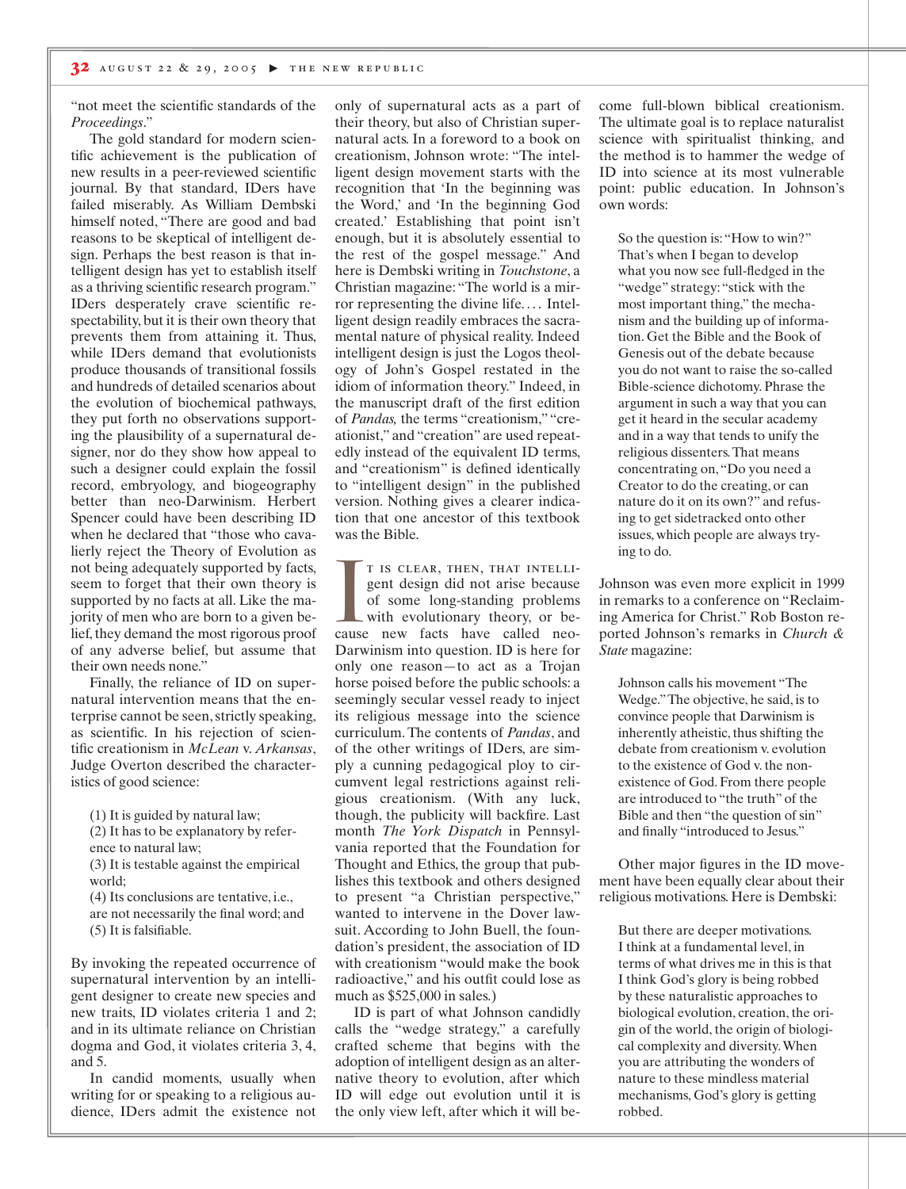"not meet the scientific standards of the *Proceedings*."

The gold standard for modern scientific achievement is the publication of new results in a peer-reviewed scientific journal. By that standard, IDers have failed miserably. As William Dembski himself noted, "There are good and bad reasons to be skeptical of intelligent design. Perhaps the best reason is that intelligent design has yet to establish itself as a thriving scientific research program." IDers desperately crave scientific respectability, but it is their own theory that prevents them from attaining it. Thus, while IDers demand that evolutionists produce thousands of transitional fossils and hundreds of detailed scenarios about the evolution of biochemical pathways, they put forth no observations supporting the plausibility of a supernatural designer, nor do they show how appeal to such a designer could explain the fossil record, embryology, and biogeography better than neo-Darwinism. Herbert Spencer could have been describing ID when he declared that "those who cavalierly reject the Theory of Evolution as not being adequately supported by facts, seem to forget that their own theory is supported by no facts at all. Like the majority of men who are born to a given belief, they demand the most rigorous proof of any adverse belief, but assume that their own needs none."

Finally, the reliance of ID on supernatural intervention means that the enterprise cannot be seen, strictly speaking, as scientific. In his rejection of scientific creationism in *McLean* v. *Arkansas*, Judge Overton described the characteristics of good science:

(1) It is guided by natural law;

(2) It has to be explanatory by reference to natural law;

(3) It is testable against the empirical world;

(4) Its conclusions are tentative, i.e.,

are not necessarily the final word; and (5) It is falsifiable.

By invoking the repeated occurrence of supernatural intervention by an intelligent designer to create new species and new traits, ID violates criteria 1 and 2; and in its ultimate reliance on Christian dogma and God, it violates criteria 3, 4, and 5.

In candid moments, usually when writing for or speaking to a religious audience, IDers admit the existence not

only of supernatural acts as a part of their theory, but also of Christian supernatural acts. In a foreword to a book on creationism, Johnson wrote: "The intelligent design movement starts with the recognition that 'In the beginning was the Word,' and 'In the beginning God created.' Establishing that point isn't enough, but it is absolutely essential to the rest of the gospel message." And here is Dembski writing in *Touchstone*, a Christian magazine: "The world is a mirror representing the divine life.... Intelligent design readily embraces the sacramental nature of physical reality. Indeed intelligent design is just the Logos theology of John's Gospel restated in the idiom of information theory." Indeed, in the manuscript draft of the first edition of *Pandas,* the terms "creationism," "creationist," and "creation" are used repeatedly instead of the equivalent ID terms, and "creationism" is defined identically to "intelligent design" in the published version. Nothing gives a clearer indication that one ancestor of this textbook was the Bible.

T IS CLEAR, THEN, THAT INTELLI-<br>gent design did not arise because<br>of some long-standing problems<br>with evolutionary theory, or be-<br>cause new facts have called neot is clear, then, that intelligent design did not arise because of some long-standing problems with evolutionary theory, or be-Darwinism into question. ID is here for only one reason—to act as a Trojan horse poised before the public schools: a seemingly secular vessel ready to inject its religious message into the science curriculum. The contents of *Pandas*, and of the other writings of IDers, are simply a cunning pedagogical ploy to circumvent legal restrictions against religious creationism. (With any luck, though, the publicity will backfire. Last month *The York Dispatch* in Pennsylvania reported that the Foundation for Thought and Ethics, the group that publishes this textbook and others designed to present "a Christian perspective," wanted to intervene in the Dover lawsuit. According to John Buell, the foundation's president, the association of ID with creationism "would make the book radioactive," and his outfit could lose as much as \$525,000 in sales.)

ID is part of what Johnson candidly calls the "wedge strategy," a carefully crafted scheme that begins with the adoption of intelligent design as an alternative theory to evolution, after which ID will edge out evolution until it is the only view left, after which it will become full-blown biblical creationism. The ultimate goal is to replace naturalist science with spiritualist thinking, and the method is to hammer the wedge of ID into science at its most vulnerable point: public education. In Johnson's own words:

So the question is:"How to win?" That's when I began to develop what you now see full-fledged in the "wedge" strategy:"stick with the most important thing," the mechanism and the building up of information. Get the Bible and the Book of Genesis out of the debate because you do not want to raise the so-called Bible-science dichotomy. Phrase the argument in such a way that you can get it heard in the secular academy and in a way that tends to unify the religious dissenters.That means concentrating on,"Do you need a Creator to do the creating, or can nature do it on its own?" and refusing to get sidetracked onto other issues, which people are always trying to do.

Johnson was even more explicit in 1999 in remarks to a conference on "Reclaiming America for Christ." Rob Boston reported Johnson's remarks in *Church & State* magazine:

Johnson calls his movement "The Wedge."The objective, he said, is to convince people that Darwinism is inherently atheistic, thus shifting the debate from creationism v. evolution to the existence of God v. the nonexistence of God. From there people are introduced to "the truth" of the Bible and then "the question of sin" and finally "introduced to Jesus."

Other major figures in the ID movement have been equally clear about their religious motivations. Here is Dembski:

But there are deeper motivations. I think at a fundamental level, in terms of what drives me in this is that I think God's glory is being robbed by these naturalistic approaches to biological evolution, creation, the origin of the world, the origin of biological complexity and diversity.When you are attributing the wonders of nature to these mindless material mechanisms, God's glory is getting robbed.